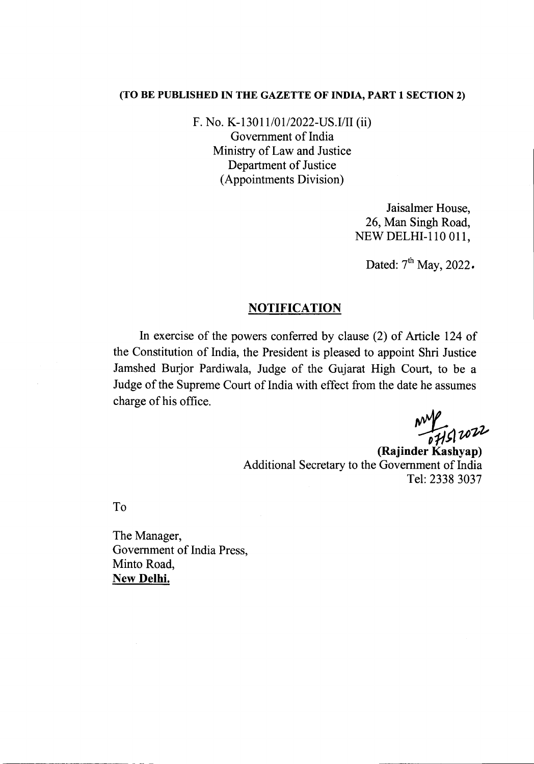## (TO BE PUBLISHED IN THE GAZETTE OF INDIA, PART 1 SECTION 2)

F. No. K-13011/01/2022-US.I/II (ii) Government of India Ministry of Law and Justice Department of Justice (Appointments Division)

> Jaisalmer House, 26, Man Singh Road, NEW DELHI-110 011,

Dated:  $7<sup>th</sup>$  May, 2022.

## **NOTIFICATION**

In exercise of the powers conferred by clause (2) of Article 124 of the Constitution of India, the President is pleased to appoint Shri Justice Jamshed Burjor Pardiwala, Judge of the Gujarat High Court, to be a Judge of the Supreme Court of India with effect from the date he assumes charge of his office.

*'11t1vofo*

(Rajinder Kashyap) Additional Secretary to the Government of India Tel: 2338 3037

To

The Manager, Government of India Press, Minto Road, New Delhi.